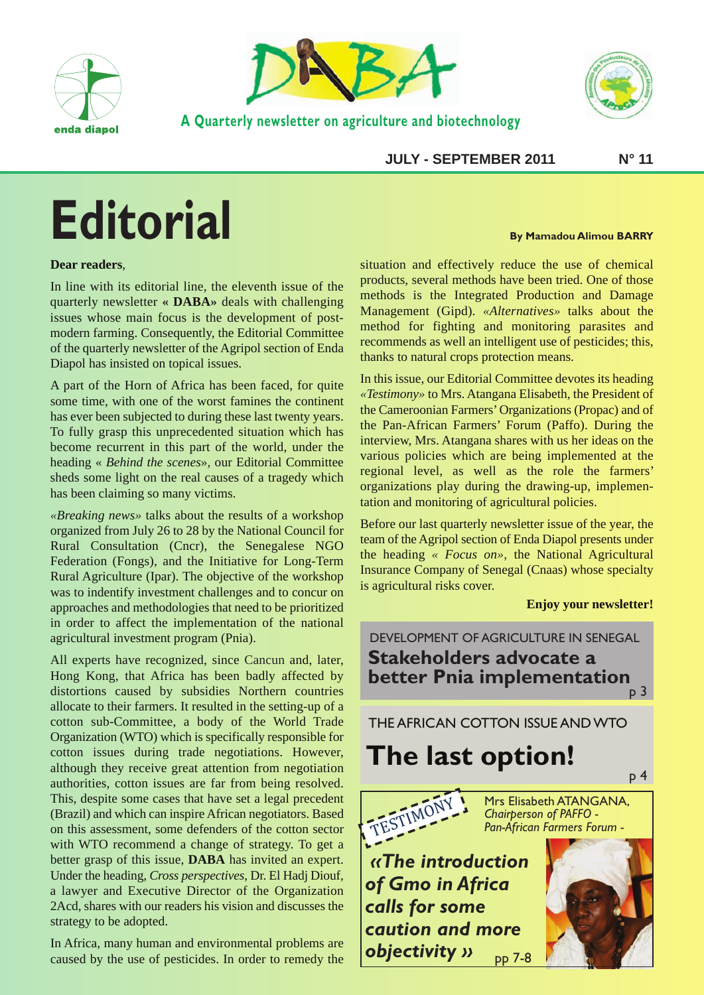



**A Quarterly newsletter on agriculture and biotechnology**



**JULY - SEPTEMBER 2011 N° 11** 

# **Editorial**

#### **Dear readers**,

In line with its editorial line, the eleventh issue of the quarterly newsletter **« DABA»** deals with challenging issues whose main focus is the development of postmodern farming. Consequently, the Editorial Committee of the quarterly newsletter of the Agripol section of Enda Diapol has insisted on topical issues.

A part of the Horn of Africa has been faced, for quite some time, with one of the worst famines the continent has ever been subjected to during these last twenty years. To fully grasp this unprecedented situation which has become recurrent in this part of the world, under the heading « *Behind the scenes*», our Editorial Committee sheds some light on the real causes of a tragedy which has been claiming so many victims.

*«Breaking news»* talks about the results of a workshop organized from July 26 to 28 by the National Council for Rural Consultation (Cncr), the Senegalese NGO Federation (Fongs), and the Initiative for Long-Term Rural Agriculture (Ipar). The objective of the workshop was to indentify investment challenges and to concur on approaches and methodologies that need to be prioritized in order to affect the implementation of the national agricultural investment program (Pnia).

All experts have recognized, since Cancun and, later, Hong Kong, that Africa has been badly affected by distortions caused by subsidies Northern countries allocate to their farmers. It resulted in the setting-up of a cotton sub-Committee, a body of the World Trade Organization (WTO) which is specifically responsible for cotton issues during trade negotiations. However, although they receive great attention from negotiation authorities, cotton issues are far from being resolved. This, despite some cases that have set a legal precedent (Brazil) and which can inspire African negotiators. Based on this assessment, some defenders of the cotton sector with WTO recommend a change of strategy. To get a better grasp of this issue, **DABA** has invited an expert. Under the heading, *Cross perspectives*, Dr. El Hadj Diouf, a lawyer and Executive Director of the Organization 2Acd, shares with our readers his vision and discusses the strategy to be adopted.

In Africa, many human and environmental problems are caused by the use of pesticides. In order to remedy the

#### **By Mamadou Alimou BARRY**

situation and effectively reduce the use of chemical products, several methods have been tried. One of those methods is the Integrated Production and Damage Management (Gipd). *«Alternatives»* talks about the method for fighting and monitoring parasites and recommends as well an intelligent use of pesticides; this, thanks to natural crops protection means.

In this issue, our Editorial Committee devotes its heading *«Testimony»* to Mrs. Atangana Elisabeth, the President of the Cameroonian Farmers' Organizations (Propac) and of the Pan-African Farmers' Forum (Paffo). During the interview, Mrs. Atangana shares with us her ideas on the various policies which are being implemented at the regional level, as well as the role the farmers' organizations play during the drawing-up, implementation and monitoring of agricultural policies.

Before our last quarterly newsletter issue of the year, the team of the Agripol section of Enda Diapol presents under the heading *« Focus on»*, the National Agricultural Insurance Company of Senegal (Cnaas) whose specialty is agricultural risks cover.

#### **Enjoy your newsletter!**

DEVELOPMENT OF AGRICULTURE IN SENEGAL **Stakeholders advocate a better Pnia implementation**<br>p 3

THE AFRICAN COTTON ISSUE AND WTO

# **The last option!**



Mrs Elisabeth ATANGANA, *Chairperson of PAFFO - Pan-African Farmers Forum -*

*«The introduction of Gmo in Africa calls for some caution and more objectivity »* pp 7-8

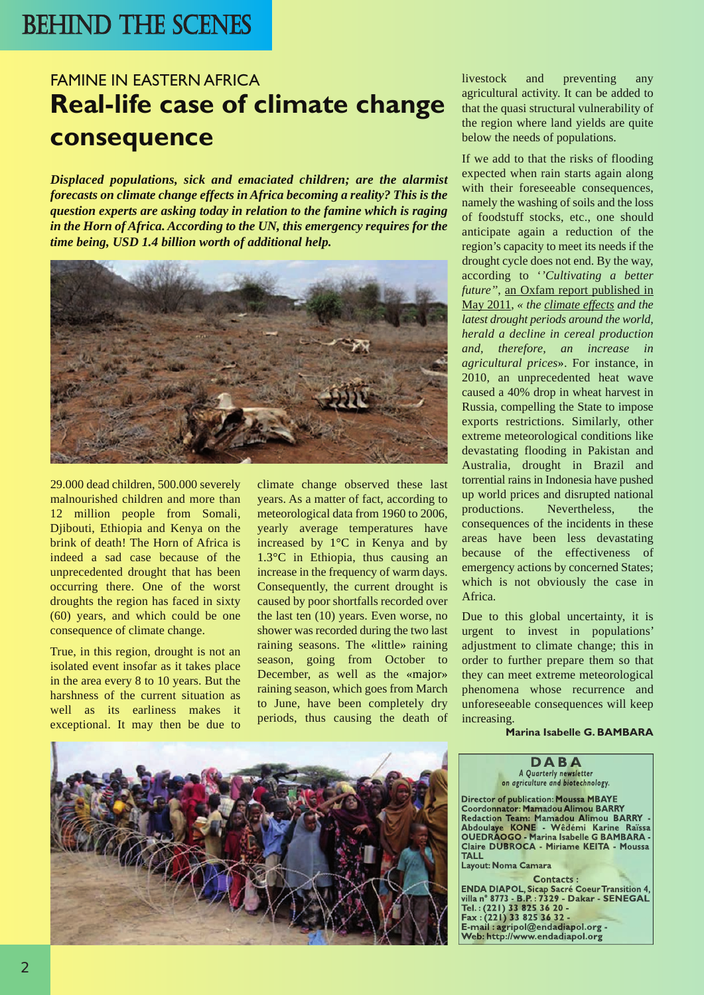# BEHIND THE SCENES

## FAMINE IN EASTERN AFRICA **Real-life case of climate change consequence**

*Displaced populations, sick and emaciated children; are the alarmist forecasts on climate change effects in Africa becoming a reality? This is the question experts are asking today in relation to the famine which is raging in the Horn of Africa. According to the UN, this emergency requires for the time being, USD 1.4 billion worth of additional help.*



29.000 dead children, 500.000 severely malnourished children and more than 12 million people from Somali, Djibouti, Ethiopia and Kenya on the brink of death! The Horn of Africa is indeed a sad case because of the unprecedented drought that has been occurring there. One of the worst droughts the region has faced in sixty (60) years, and which could be one consequence of climate change.

True, in this region, drought is not an isolated event insofar as it takes place in the area every 8 to 10 years. But the harshness of the current situation as well as its earliness makes it exceptional. It may then be due to climate change observed these last years. As a matter of fact, according to meteorological data from 1960 to 2006, yearly average temperatures have increased by 1°C in Kenya and by 1.3°C in Ethiopia, thus causing an increase in the frequency of warm days. Consequently, the current drought is caused by poor shortfalls recorded over the last ten (10) years. Even worse, no shower was recorded during the two last raining seasons. The «little» raining season, going from October to December, as well as the «major» raining season, which goes from March to June, have been completely dry periods, thus causing the death of

livestock and preventing any agricultural activity. It can be added to that the quasi structural vulnerability of the region where land yields are quite below the needs of populations.

If we add to that the risks of flooding expected when rain starts again along with their foreseeable consequences, namely the washing of soils and the loss of foodstuff stocks, etc., one should anticipate again a reduction of the region's capacity to meet its needs if the drought cycle does not end. By the way, according to '*'Cultivating a better future''*, an Oxfam report published in May 2011, *« the climate effects and the latest drought periods around the world, herald a decline in cereal production and, therefore, an increase in agricultural prices*». For instance, in 2010, an unprecedented heat wave caused a 40% drop in wheat harvest in Russia, compelling the State to impose exports restrictions. Similarly, other extreme meteorological conditions like devastating flooding in Pakistan and Australia, drought in Brazil and torrential rains in Indonesia have pushed up world prices and disrupted national productions. Nevertheless, the consequences of the incidents in these areas have been less devastating because of the effectiveness of emergency actions by concerned States; which is not obviously the case in Africa.

Due to this global uncertainty, it is urgent to invest in populations' adjustment to climate change; this in order to further prepare them so that they can meet extreme meteorological phenomena whose recurrence and unforeseeable consequences will keep increasing.

**Marina Isabelle G. BAMBARA**

**D A B A** *A Quarterly newsletter on agriculture and biotechnology.* **Director of publication: Moussa MBAYE**

**Coordonnator: Mamadou Alimou BARRY Redaction Team: Mamadou Alimou BARRY - Abdoulaye KONE - Wêdémi Karine Raïssa OUEDRAOGO - Marina Isabelle G BAMBARA - Claire DUBROCA - Miriame KEITA - Moussa TALL**

**Layout: Noma Camara**

**Contacts : ENDA DIAPOL, Sicap Sacré Coeur Transition 4, villa n° 8773 - B.P. : 7329 - Dakar - SENEGAL Tel. : (221) 33 825 36 20 - Fax : (221) 33 825 36 32 - E-mail : agripol@endadiapol.org - Web: http://www.endadiapol.org**

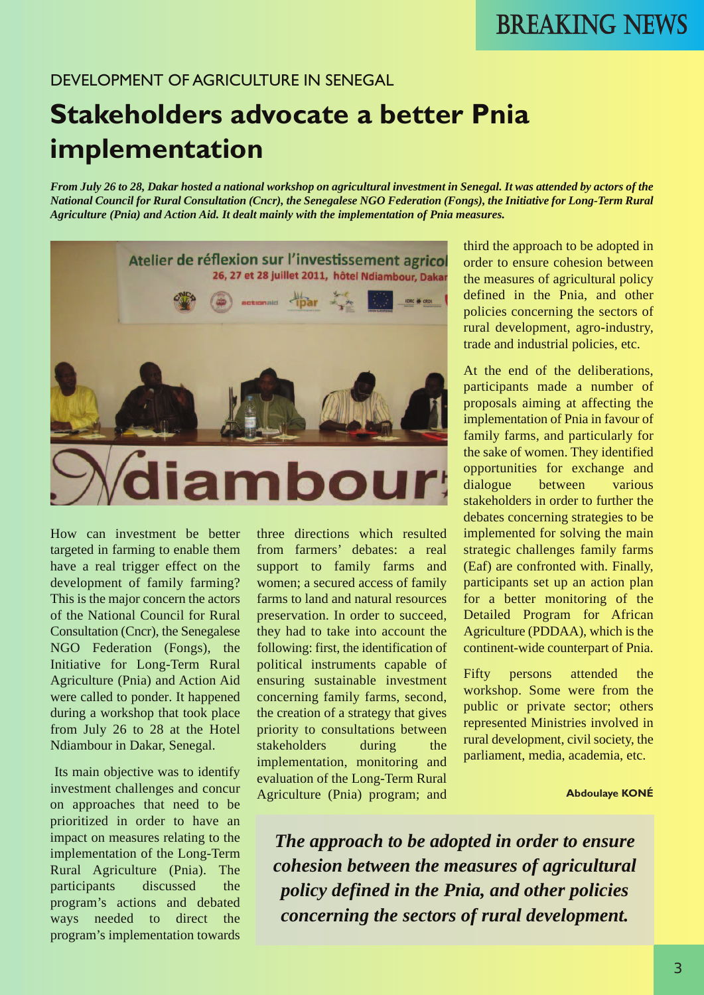#### DEVELOPMENT OF AGRICULTURE IN SENEGAL

# **Stakeholders advocate a better Pnia implementation**

*From July 26 to 28, Dakar hosted a national workshop on agricultural investment in Senegal. It was attended by actors of the National Council for Rural Consultation (Cncr), the Senegalese NGO Federation (Fongs), the Initiative for Long-Term Rural Agriculture (Pnia) and Action Aid. It dealt mainly with the implementation of Pnia measures.*



How can investment be better targeted in farming to enable them have a real trigger effect on the development of family farming? This is the major concern the actors of the National Council for Rural Consultation (Cncr), the Senegalese NGO Federation (Fongs), the Initiative for Long-Term Rural Agriculture (Pnia) and Action Aid were called to ponder. It happened during a workshop that took place from July 26 to 28 at the Hotel Ndiambour in Dakar, Senegal.

Its main objective was to identify investment challenges and concur on approaches that need to be prioritized in order to have an impact on measures relating to the implementation of the Long-Term Rural Agriculture (Pnia). The participants discussed the program's actions and debated ways needed to direct the program's implementation towards

three directions which resulted from farmers' debates: a real support to family farms and women; a secured access of family farms to land and natural resources preservation. In order to succeed, they had to take into account the following: first, the identification of political instruments capable of ensuring sustainable investment concerning family farms, second, the creation of a strategy that gives priority to consultations between stakeholders during the implementation, monitoring and evaluation of the Long-Term Rural Agriculture (Pnia) program; and

third the approach to be adopted in order to ensure cohesion between the measures of agricultural policy defined in the Pnia, and other policies concerning the sectors of rural development, agro-industry, trade and industrial policies, etc.

At the end of the deliberations, participants made a number of proposals aiming at affecting the implementation of Pnia in favour of family farms, and particularly for the sake of women. They identified opportunities for exchange and dialogue between various stakeholders in order to further the debates concerning strategies to be implemented for solving the main strategic challenges family farms (Eaf) are confronted with. Finally, participants set up an action plan for a better monitoring of the Detailed Program for African Agriculture (PDDAA), which is the continent-wide counterpart of Pnia.

Fifty persons attended the workshop. Some were from the public or private sector; others represented Ministries involved in rural development, civil society, the parliament, media, academia, etc.

**Abdoulaye KONÉ**

*The approach to be adopted in order to ensure cohesion between the measures of agricultural policy defined in the Pnia, and other policies concerning the sectors of rural development.*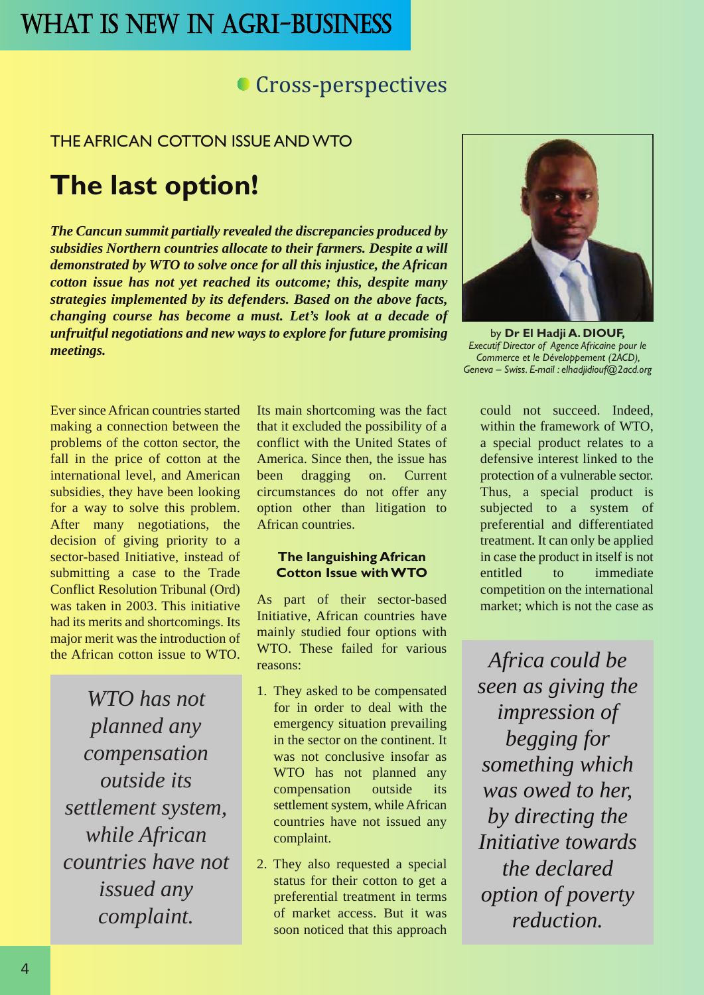### **Cross-perspectives**

#### THE AFRICAN COTTON ISSUE AND WTO

# **The last option!**

*The Cancun summit partially revealed the discrepancies produced by subsidies Northern countries allocate to their farmers. Despite a will demonstrated by WTO to solve once for all this injustice, the African cotton issue has not yet reached its outcome; this, despite many strategies implemented by its defenders. Based on the above facts, changing course has become a must. Let's look at a decade of unfruitful negotiations and new ways to explore for future promising meetings.*

Ever since African countries started making a connection between the problems of the cotton sector, the fall in the price of cotton at the international level, and American subsidies, they have been looking for a way to solve this problem. After many negotiations, the decision of giving priority to a sector-based Initiative, instead of submitting a case to the Trade Conflict Resolution Tribunal (Ord) was taken in 2003. This initiative had its merits and shortcomings. Its major merit was the introduction of the African cotton issue to WTO.

*WTO has not planned any compensation outside its settlement system, while African countries have not issued any complaint.*

Its main shortcoming was the fact that it excluded the possibility of a conflict with the United States of America. Since then, the issue has been dragging on. Current circumstances do not offer any option other than litigation to African countries.

#### **The languishing African Cotton Issue with WTO**

As part of their sector-based Initiative, African countries have mainly studied four options with WTO. These failed for various reasons:

- 1. They asked to be compensated for in order to deal with the emergency situation prevailing in the sector on the continent. It was not conclusive insofar as WTO has not planned any compensation outside its settlement system, while African countries have not issued any complaint.
- 2. They also requested a special status for their cotton to get a preferential treatment in terms of market access. But it was soon noticed that this approach



by **Dr El Hadji A. DIOUF,** *Executif Director of Agence Africaine pour le Commerce et le Développement (2ACD), Geneva – Swiss. E-mail : elhadjidiouf@2acd.org*

could not succeed. Indeed, within the framework of WTO, a special product relates to a defensive interest linked to the protection of a vulnerable sector. Thus, a special product is subjected to a system of preferential and differentiated treatment. It can only be applied in case the product in itself is not entitled to immediate competition on the international market; which is not the case as

*Africa could be seen as giving the impression of begging for something which was owed to her, by directing the Initiative towards the declared option of poverty reduction.*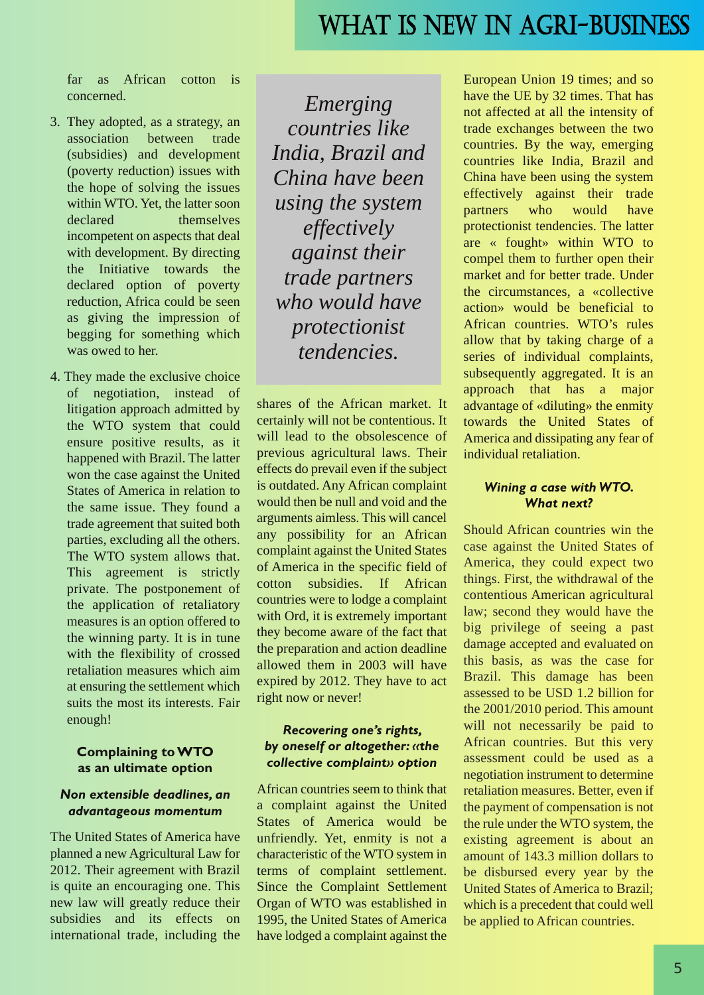far as African cotton is concerned.

- 3. They adopted, as a strategy, an association between trade (subsidies) and development (poverty reduction) issues with the hope of solving the issues within WTO. Yet, the latter soon declared themselves incompetent on aspects that deal with development. By directing the Initiative towards the declared option of poverty reduction, Africa could be seen as giving the impression of begging for something which was owed to her.
- 4. They made the exclusive choice of negotiation, instead of litigation approach admitted by the WTO system that could ensure positive results, as it happened with Brazil. The latter won the case against the United States of America in relation to the same issue. They found a trade agreement that suited both parties, excluding all the others. The WTO system allows that. This agreement is strictly private. The postponement of the application of retaliatory measures is an option offered to the winning party. It is in tune with the flexibility of crossed retaliation measures which aim at ensuring the settlement which suits the most its interests. Fair enough!

#### **Complaining to WTO as an ultimate option**

#### *Non extensible deadlines, an advantageous momentum*

The United States of America have planned a new Agricultural Law for 2012. Their agreement with Brazil is quite an encouraging one. This new law will greatly reduce their subsidies and its effects on international trade, including the

*Emerging countries like India, Brazil and China have been using the system effectively against their trade partners who would have protectionist tendencies.*

shares of the African market. It certainly will not be contentious. It will lead to the obsolescence of previous agricultural laws. Their effects do prevail even if the subject is outdated. Any African complaint would then be null and void and the arguments aimless. This will cancel any possibility for an African complaint against the United States of America in the specific field of cotton subsidies. If African countries were to lodge a complaint with Ord, it is extremely important they become aware of the fact that the preparation and action deadline allowed them in 2003 will have expired by 2012. They have to act right now or never!

#### *Recovering one's rights, by oneself or altogether: «the collective complaint» option*

African countries seem to think that a complaint against the United States of America would be unfriendly. Yet, enmity is not a characteristic of the WTO system in terms of complaint settlement. Since the Complaint Settlement Organ of WTO was established in 1995, the United States of America have lodged a complaint against the European Union 19 times; and so have the UE by 32 times. That has not affected at all the intensity of trade exchanges between the two countries. By the way, emerging countries like India, Brazil and China have been using the system effectively against their trade partners who would have protectionist tendencies. The latter are « fought» within WTO to compel them to further open their market and for better trade. Under the circumstances, a «collective action» would be beneficial to African countries. WTO's rules allow that by taking charge of a series of individual complaints, subsequently aggregated. It is an approach that has a major advantage of «diluting» the enmity towards the United States of America and dissipating any fear of individual retaliation.

#### *Wining a case with WTO. What next?*

Should African countries win the case against the United States of America, they could expect two things. First, the withdrawal of the contentious American agricultural law; second they would have the big privilege of seeing a past damage accepted and evaluated on this basis, as was the case for Brazil. This damage has been assessed to be USD 1.2 billion for the 2001/2010 period. This amount will not necessarily be paid to African countries. But this very assessment could be used as a negotiation instrument to determine retaliation measures. Better, even if the payment of compensation is not the rule under the WTO system, the existing agreement is about an amount of 143.3 million dollars to be disbursed every year by the United States of America to Brazil; which is a precedent that could well be applied to African countries.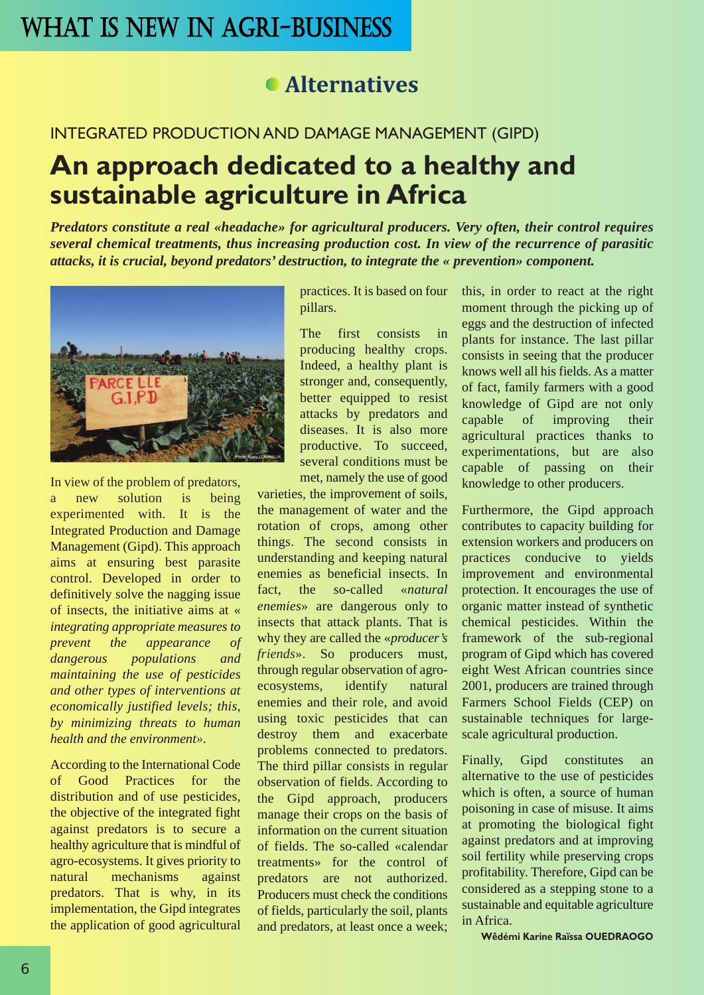### **Alternatives**

#### INTEGRATED PRODUCTION AND DAMAGE MANAGEMENT (GIPD)

# **An approach dedicated to a healthy and sustainable agriculture in Africa**

*Predators constitute a real «headache» for agricultural producers. Very often, their control requires several chemical treatments, thus increasing production cost. In view of the recurrence of parasitic attacks, it is crucial, beyond predators' destruction, to integrate the « prevention» component.* 



In view of the problem of predators, a new solution is being experimented with. It is the Integrated Production and Damage Management (Gipd). This approach aims at ensuring best parasite control. Developed in order to definitively solve the nagging issue of insects, the initiative aims at « *integrating appropriate measures to prevent the appearance of dangerous populations and maintaining the use of pesticides and other types of interventions at economically justified levels; this, by minimizing threats to human health and the environment»*.

According to the International Code of Good Practices for the distribution and of use pesticides, the objective of the integrated fight against predators is to secure a healthy agriculture that is mindful of agro-ecosystems. It gives priority to natural mechanisms against predators. That is why, in its implementation, the Gipd integrates the application of good agricultural

practices. It is based on four pillars.

The first consists in producing healthy crops. Indeed, a healthy plant is stronger and, consequently, better equipped to resist attacks by predators and diseases. It is also more productive. To succeed, several conditions must be met, namely the use of good

varieties, the improvement of soils, the management of water and the rotation of crops, among other things. The second consists in understanding and keeping natural enemies as beneficial insects. In fact, the so-called «*natural enemies*» are dangerous only to insects that attack plants. That is why they are called the «*producer's friends*». So producers must, through regular observation of agroecosystems, identify natural enemies and their role, and avoid using toxic pesticides that can destroy them and exacerbate problems connected to predators. The third pillar consists in regular observation of fields. According to the Gipd approach, producers manage their crops on the basis of information on the current situation of fields. The so-called «calendar treatments» for the control of predators are not authorized. Producers must check the conditions of fields, particularly the soil, plants and predators, at least once a week;

this, in order to react at the right moment through the picking up of eggs and the destruction of infected plants for instance. The last pillar consists in seeing that the producer knows well all his fields. As a matter of fact, family farmers with a good knowledge of Gipd are not only capable of improving their agricultural practices thanks to experimentations, but are also capable of passing on their knowledge to other producers.

Furthermore, the Gipd approach contributes to capacity building for extension workers and producers on practices conducive to yields improvement and environmental protection. It encourages the use of organic matter instead of synthetic chemical pesticides. Within the framework of the sub-regional program of Gipd which has covered eight West African countries since 2001, producers are trained through Farmers School Fields (CEP) on sustainable techniques for largescale agricultural production.

Finally, Gipd constitutes an alternative to the use of pesticides which is often, a source of human poisoning in case of misuse. It aims at promoting the biological fight against predators and at improving soil fertility while preserving crops profitability. Therefore, Gipd can be considered as a stepping stone to a sustainable and equitable agriculture in Africa.

**Wêdémi Karine Raïssa OUEDRAOGO**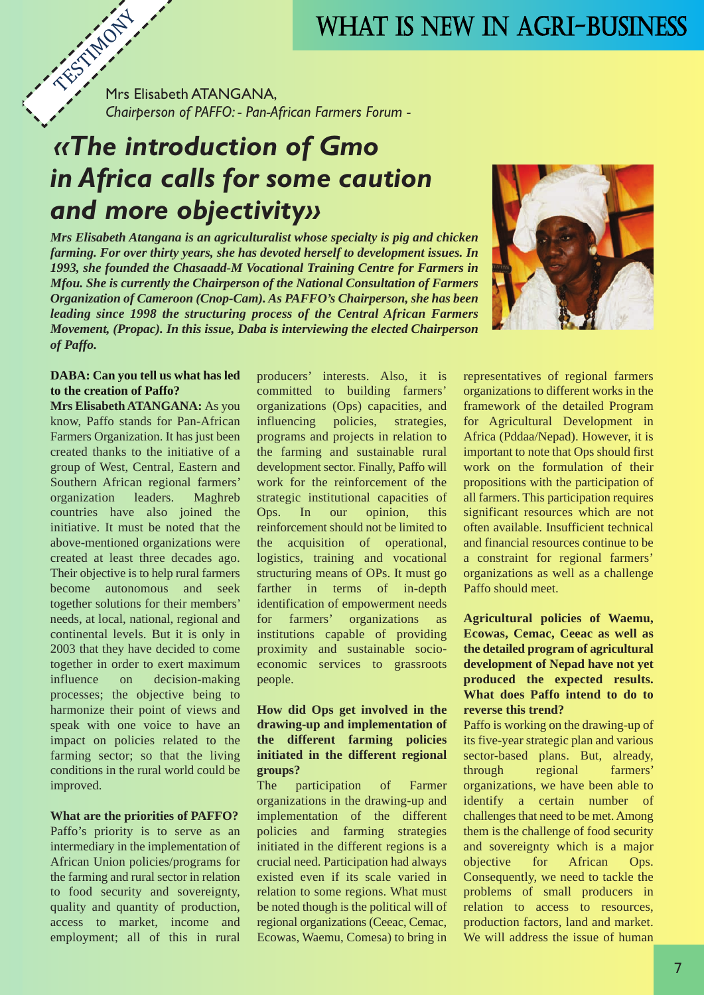TESTIMONY Mrs Elisabeth ATANGANA, *Chairperson of PAFFO: - Pan-African Farmers Forum -*

# *«The introduction of Gmo in Africa calls for some caution and more objectivity»*

*Mrs Elisabeth Atangana is an agriculturalist whose specialty is pig and chicken farming. For over thirty years, she has devoted herself to development issues. In 1993, she founded the Chasaadd-M Vocational Training Centre for Farmers in Mfou. She is currently the Chairperson of the National Consultation of Farmers Organization of Cameroon (Cnop-Cam). As PAFFO's Chairperson, she has been leading since 1998 the structuring process of the Central African Farmers Movement, (Propac). In this issue, Daba is interviewing the elected Chairperson of Paffo.* 



#### **DABA: Can you tell us what has led to the creation of Paffo?**

**Mrs Elisabeth ATANGANA:** As you know, Paffo stands for Pan-African Farmers Organization. It has just been created thanks to the initiative of a group of West, Central, Eastern and Southern African regional farmers' organization leaders. Maghreb countries have also joined the initiative. It must be noted that the above-mentioned organizations were created at least three decades ago. Their objective is to help rural farmers become autonomous and seek together solutions for their members' needs, at local, national, regional and continental levels. But it is only in 2003 that they have decided to come together in order to exert maximum influence on decision-making processes; the objective being to harmonize their point of views and speak with one voice to have an impact on policies related to the farming sector; so that the living conditions in the rural world could be improved.

#### **What are the priorities of PAFFO?**

Paffo's priority is to serve as an intermediary in the implementation of African Union policies/programs for the farming and rural sector in relation to food security and sovereignty, quality and quantity of production, access to market, income and employment; all of this in rural producers' interests. Also, it is committed to building farmers' organizations (Ops) capacities, and influencing policies, strategies, programs and projects in relation to the farming and sustainable rural development sector. Finally, Paffo will work for the reinforcement of the strategic institutional capacities of Ops. In our opinion, this reinforcement should not be limited to the acquisition of operational, logistics, training and vocational structuring means of OPs. It must go farther in terms of in-depth identification of empowerment needs for farmers' organizations as institutions capable of providing proximity and sustainable socioeconomic services to grassroots people.

#### **How did Ops get involved in the drawing-up and implementation of the different farming policies initiated in the different regional groups?**

The participation of Farmer organizations in the drawing-up and implementation of the different policies and farming strategies initiated in the different regions is a crucial need. Participation had always existed even if its scale varied in relation to some regions. What must be noted though is the political will of regional organizations (Ceeac, Cemac, Ecowas, Waemu, Comesa) to bring in representatives of regional farmers organizations to different works in the framework of the detailed Program for Agricultural Development in Africa (Pddaa/Nepad). However, it is important to note that Ops should first work on the formulation of their propositions with the participation of all farmers. This participation requires significant resources which are not often available. Insufficient technical and financial resources continue to be a constraint for regional farmers' organizations as well as a challenge Paffo should meet.

#### **Agricultural policies of Waemu, Ecowas, Cemac, Ceeac as well as the detailed program of agricultural development of Nepad have not yet produced the expected results. What does Paffo intend to do to reverse this trend?**

Paffo is working on the drawing-up of its five-year strategic plan and various sector-based plans. But, already, through regional farmers' organizations, we have been able to identify a certain number of challenges that need to be met. Among them is the challenge of food security and sovereignty which is a major objective for African Ops. Consequently, we need to tackle the problems of small producers in relation to access to resources, production factors, land and market. We will address the issue of human